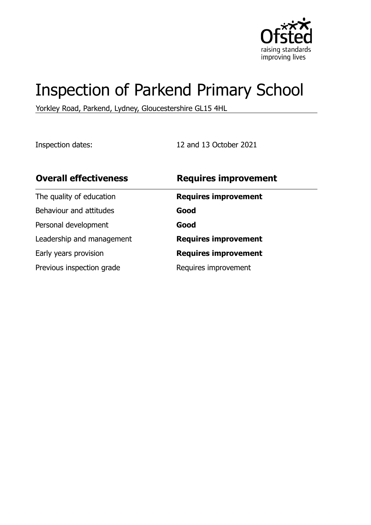

# Inspection of Parkend Primary School

Yorkley Road, Parkend, Lydney, Gloucestershire GL15 4HL

Inspection dates: 12 and 13 October 2021

| <b>Overall effectiveness</b> | <b>Requires improvement</b> |
|------------------------------|-----------------------------|
| The quality of education     | <b>Requires improvement</b> |
| Behaviour and attitudes      | Good                        |
| Personal development         | Good                        |
| Leadership and management    | <b>Requires improvement</b> |
| Early years provision        | <b>Requires improvement</b> |
| Previous inspection grade    | Requires improvement        |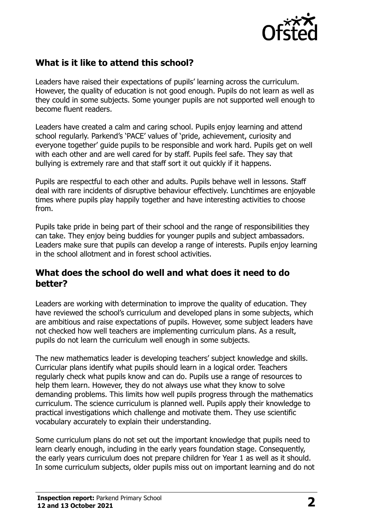

# **What is it like to attend this school?**

Leaders have raised their expectations of pupils' learning across the curriculum. However, the quality of education is not good enough. Pupils do not learn as well as they could in some subjects. Some younger pupils are not supported well enough to become fluent readers.

Leaders have created a calm and caring school. Pupils enjoy learning and attend school regularly. Parkend's 'PACE' values of 'pride, achievement, curiosity and everyone together' guide pupils to be responsible and work hard. Pupils get on well with each other and are well cared for by staff. Pupils feel safe. They say that bullying is extremely rare and that staff sort it out quickly if it happens.

Pupils are respectful to each other and adults. Pupils behave well in lessons. Staff deal with rare incidents of disruptive behaviour effectively. Lunchtimes are enjoyable times where pupils play happily together and have interesting activities to choose from.

Pupils take pride in being part of their school and the range of responsibilities they can take. They enjoy being buddies for younger pupils and subject ambassadors. Leaders make sure that pupils can develop a range of interests. Pupils enjoy learning in the school allotment and in forest school activities.

#### **What does the school do well and what does it need to do better?**

Leaders are working with determination to improve the quality of education. They have reviewed the school's curriculum and developed plans in some subjects, which are ambitious and raise expectations of pupils. However, some subject leaders have not checked how well teachers are implementing curriculum plans. As a result, pupils do not learn the curriculum well enough in some subjects.

The new mathematics leader is developing teachers' subject knowledge and skills. Curricular plans identify what pupils should learn in a logical order. Teachers regularly check what pupils know and can do. Pupils use a range of resources to help them learn. However, they do not always use what they know to solve demanding problems. This limits how well pupils progress through the mathematics curriculum. The science curriculum is planned well. Pupils apply their knowledge to practical investigations which challenge and motivate them. They use scientific vocabulary accurately to explain their understanding.

Some curriculum plans do not set out the important knowledge that pupils need to learn clearly enough, including in the early years foundation stage. Consequently, the early years curriculum does not prepare children for Year 1 as well as it should. In some curriculum subjects, older pupils miss out on important learning and do not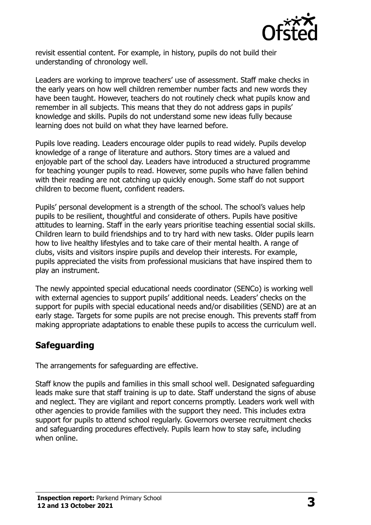

revisit essential content. For example, in history, pupils do not build their understanding of chronology well.

Leaders are working to improve teachers' use of assessment. Staff make checks in the early years on how well children remember number facts and new words they have been taught. However, teachers do not routinely check what pupils know and remember in all subjects. This means that they do not address gaps in pupils' knowledge and skills. Pupils do not understand some new ideas fully because learning does not build on what they have learned before.

Pupils love reading. Leaders encourage older pupils to read widely. Pupils develop knowledge of a range of literature and authors. Story times are a valued and enjoyable part of the school day. Leaders have introduced a structured programme for teaching younger pupils to read. However, some pupils who have fallen behind with their reading are not catching up quickly enough. Some staff do not support children to become fluent, confident readers.

Pupils' personal development is a strength of the school. The school's values help pupils to be resilient, thoughtful and considerate of others. Pupils have positive attitudes to learning. Staff in the early years prioritise teaching essential social skills. Children learn to build friendships and to try hard with new tasks. Older pupils learn how to live healthy lifestyles and to take care of their mental health. A range of clubs, visits and visitors inspire pupils and develop their interests. For example, pupils appreciated the visits from professional musicians that have inspired them to play an instrument.

The newly appointed special educational needs coordinator (SENCo) is working well with external agencies to support pupils' additional needs. Leaders' checks on the support for pupils with special educational needs and/or disabilities (SEND) are at an early stage. Targets for some pupils are not precise enough. This prevents staff from making appropriate adaptations to enable these pupils to access the curriculum well.

## **Safeguarding**

The arrangements for safeguarding are effective.

Staff know the pupils and families in this small school well. Designated safeguarding leads make sure that staff training is up to date. Staff understand the signs of abuse and neglect. They are vigilant and report concerns promptly. Leaders work well with other agencies to provide families with the support they need. This includes extra support for pupils to attend school regularly. Governors oversee recruitment checks and safeguarding procedures effectively. Pupils learn how to stay safe, including when online.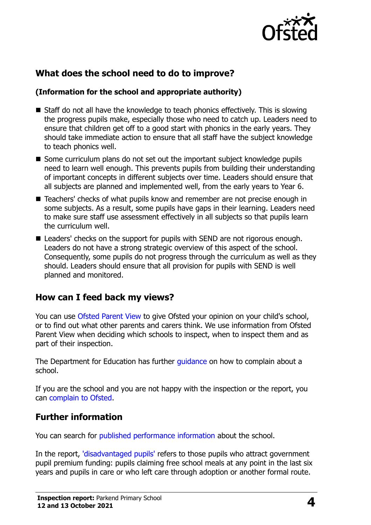

# **What does the school need to do to improve?**

#### **(Information for the school and appropriate authority)**

- Staff do not all have the knowledge to teach phonics effectively. This is slowing the progress pupils make, especially those who need to catch up. Leaders need to ensure that children get off to a good start with phonics in the early years. They should take immediate action to ensure that all staff have the subject knowledge to teach phonics well.
- Some curriculum plans do not set out the important subject knowledge pupils need to learn well enough. This prevents pupils from building their understanding of important concepts in different subjects over time. Leaders should ensure that all subjects are planned and implemented well, from the early years to Year 6.
- Teachers' checks of what pupils know and remember are not precise enough in some subjects. As a result, some pupils have gaps in their learning. Leaders need to make sure staff use assessment effectively in all subjects so that pupils learn the curriculum well.
- Leaders' checks on the support for pupils with SEND are not rigorous enough. Leaders do not have a strong strategic overview of this aspect of the school. Consequently, some pupils do not progress through the curriculum as well as they should. Leaders should ensure that all provision for pupils with SEND is well planned and monitored.

## **How can I feed back my views?**

You can use [Ofsted Parent View](http://parentview.ofsted.gov.uk/) to give Ofsted your opinion on your child's school, or to find out what other parents and carers think. We use information from Ofsted Parent View when deciding which schools to inspect, when to inspect them and as part of their inspection.

The Department for Education has further *quidance* on how to complain about a school.

If you are the school and you are not happy with the inspection or the report, you can [complain to Ofsted.](http://www.gov.uk/complain-ofsted-report)

#### **Further information**

You can search for [published performance information](http://www.compare-school-performance.service.gov.uk/) about the school.

In the report, ['disadvantaged pupils'](http://www.gov.uk/guidance/pupil-premium-information-for-schools-and-alternative-provision-settings) refers to those pupils who attract government pupil premium funding: pupils claiming free school meals at any point in the last six years and pupils in care or who left care through adoption or another formal route.

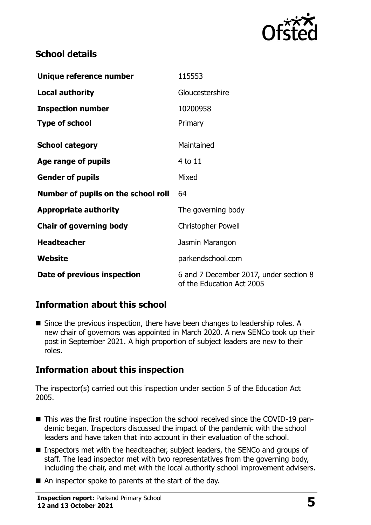

## **School details**

| Unique reference number             | 115553                                                              |
|-------------------------------------|---------------------------------------------------------------------|
| <b>Local authority</b>              | Gloucestershire                                                     |
| <b>Inspection number</b>            | 10200958                                                            |
| <b>Type of school</b>               | Primary                                                             |
| <b>School category</b>              | Maintained                                                          |
| Age range of pupils                 | 4 to 11                                                             |
| <b>Gender of pupils</b>             | Mixed                                                               |
| Number of pupils on the school roll | 64                                                                  |
| <b>Appropriate authority</b>        | The governing body                                                  |
| <b>Chair of governing body</b>      | <b>Christopher Powell</b>                                           |
| <b>Headteacher</b>                  | Jasmin Marangon                                                     |
| Website                             | parkendschool.com                                                   |
| Date of previous inspection         | 6 and 7 December 2017, under section 8<br>of the Education Act 2005 |

## **Information about this school**

■ Since the previous inspection, there have been changes to leadership roles. A new chair of governors was appointed in March 2020. A new SENCo took up their post in September 2021. A high proportion of subject leaders are new to their roles.

## **Information about this inspection**

The inspector(s) carried out this inspection under section 5 of the Education Act 2005.

- This was the first routine inspection the school received since the COVID-19 pandemic began. Inspectors discussed the impact of the pandemic with the school leaders and have taken that into account in their evaluation of the school.
- Inspectors met with the headteacher, subject leaders, the SENCo and groups of staff. The lead inspector met with two representatives from the governing body, including the chair, and met with the local authority school improvement advisers.
- An inspector spoke to parents at the start of the day.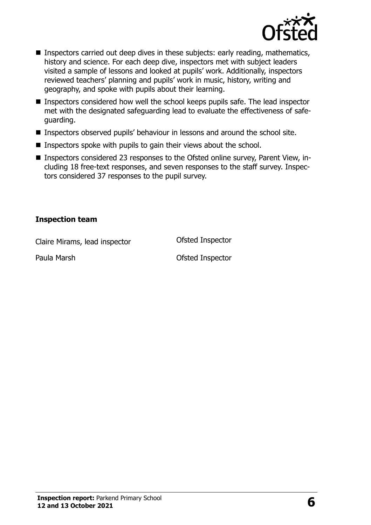

- **Inspectors carried out deep dives in these subjects: early reading, mathematics,** history and science. For each deep dive, inspectors met with subject leaders visited a sample of lessons and looked at pupils' work. Additionally, inspectors reviewed teachers' planning and pupils' work in music, history, writing and geography, and spoke with pupils about their learning.
- Inspectors considered how well the school keeps pupils safe. The lead inspector met with the designated safeguarding lead to evaluate the effectiveness of safeguarding.
- Inspectors observed pupils' behaviour in lessons and around the school site.
- $\blacksquare$  Inspectors spoke with pupils to gain their views about the school.
- Inspectors considered 23 responses to the Ofsted online survey, Parent View, including 18 free-text responses, and seven responses to the staff survey. Inspectors considered 37 responses to the pupil survey.

#### **Inspection team**

Claire Mirams, lead inspector Ofsted Inspector

Paula Marsh **Cause Contract Contract Paula Marsh** Ofsted Inspector